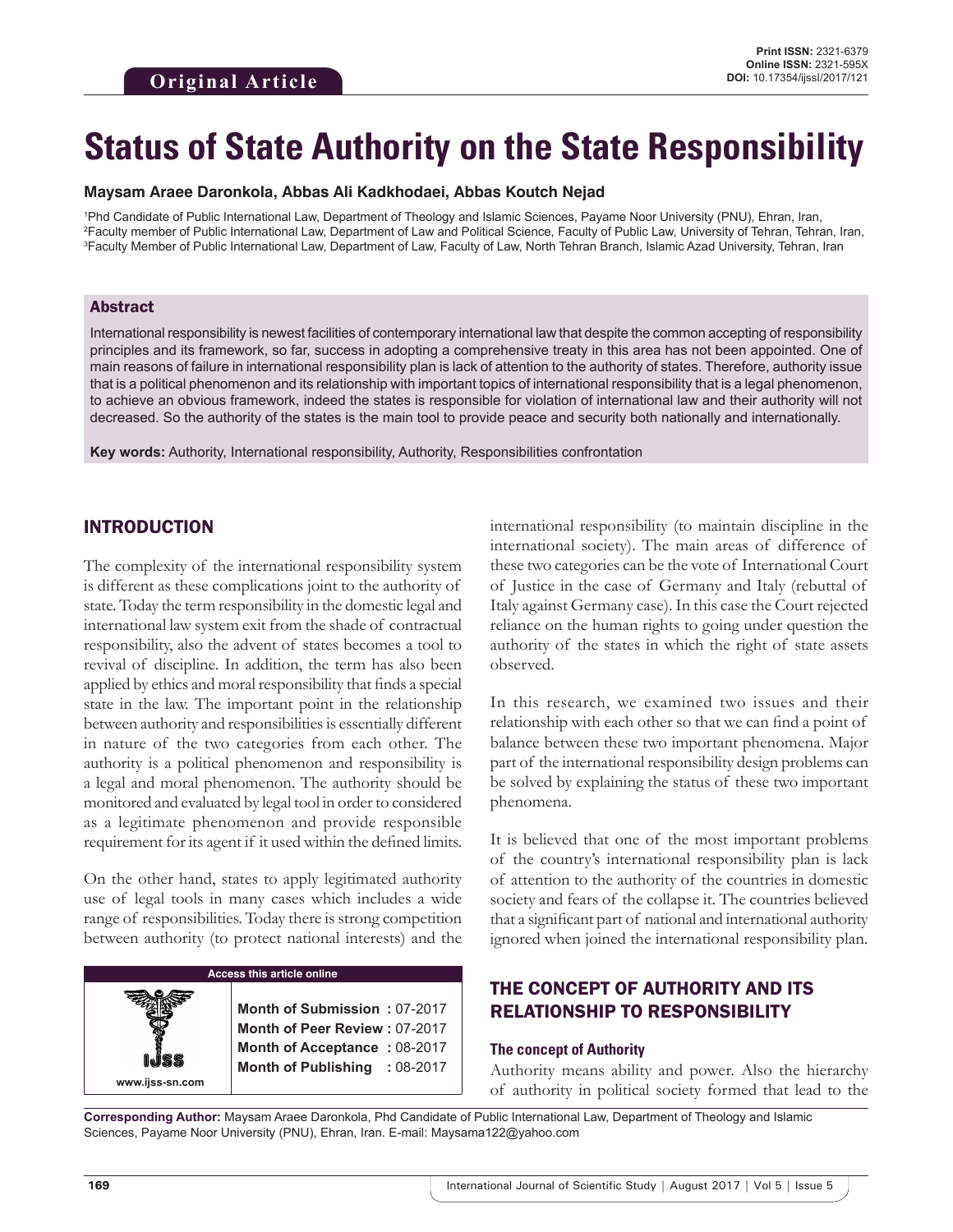# **Status of State Authority on the State Responsibility**

#### **Maysam Araee Daronkola, Abbas Ali Kadkhodaei, Abbas Koutch Nejad**

1 Phd Candidate of Public International Law, Department of Theology and Islamic Sciences, Payame Noor University (PNU), Ehran, Iran, 2 Faculty member of Public International Law, Department of Law and Political Science, Faculty of Public Law, University of Tehran, Tehran, Iran, 3 Faculty Member of Public International Law, Department of Law, Faculty of Law, North Tehran Branch, Islamic Azad University, Tehran, Iran

#### Abstract

International responsibility is newest facilities of contemporary international law that despite the common accepting of responsibility principles and its framework, so far, success in adopting a comprehensive treaty in this area has not been appointed. One of main reasons of failure in international responsibility plan is lack of attention to the authority of states. Therefore, authority issue that is a political phenomenon and its relationship with important topics of international responsibility that is a legal phenomenon, to achieve an obvious framework, indeed the states is responsible for violation of international law and their authority will not decreased. So the authority of the states is the main tool to provide peace and security both nationally and internationally.

**Key words:** Authority, International responsibility, Authority, Responsibilities confrontation

## INTRODUCTION

The complexity of the international responsibility system is different as these complications joint to the authority of state. Today the term responsibility in the domestic legal and international law system exit from the shade of contractual responsibility, also the advent of states becomes a tool to revival of discipline. In addition, the term has also been applied by ethics and moral responsibility that finds a special state in the law. The important point in the relationship between authority and responsibilities is essentially different in nature of the two categories from each other. The authority is a political phenomenon and responsibility is a legal and moral phenomenon. The authority should be monitored and evaluated by legal tool in order to considered as a legitimate phenomenon and provide responsible requirement for its agent if it used within the defined limits.

On the other hand, states to apply legitimated authority use of legal tools in many cases which includes a wide range of responsibilities. Today there is strong competition between authority (to protect national interests) and the

## **Access this article online**

**Month of Submission :** 07-2017 **Month of Peer Review :** 07-2017 **Month of Acceptance :** 08-2017 **Month of Publishing :** 08-2017

international responsibility (to maintain discipline in the international society). The main areas of difference of these two categories can be the vote of International Court of Justice in the case of Germany and Italy (rebuttal of Italy against Germany case). In this case the Court rejected reliance on the human rights to going under question the authority of the states in which the right of state assets observed.

In this research, we examined two issues and their relationship with each other so that we can find a point of balance between these two important phenomena. Major part of the international responsibility design problems can be solved by explaining the status of these two important phenomena.

It is believed that one of the most important problems of the country's international responsibility plan is lack of attention to the authority of the countries in domestic society and fears of the collapse it. The countries believed that a significant part of national and international authority ignored when joined the international responsibility plan.

## THE CONCEPT OF AUTHORITY AND ITS RELATIONSHIP TO RESPONSIBILITY

#### **The concept of Authority**

Authority means ability and power. Also the hierarchy of authority in political society formed that lead to the

**Corresponding Author:** Maysam Araee Daronkola, Phd Candidate of Public International Law, Department of Theology and Islamic Sciences, Payame Noor University (PNU), Ehran, Iran. E-mail: Maysama122@yahoo.com

**www.ijss-sn.com**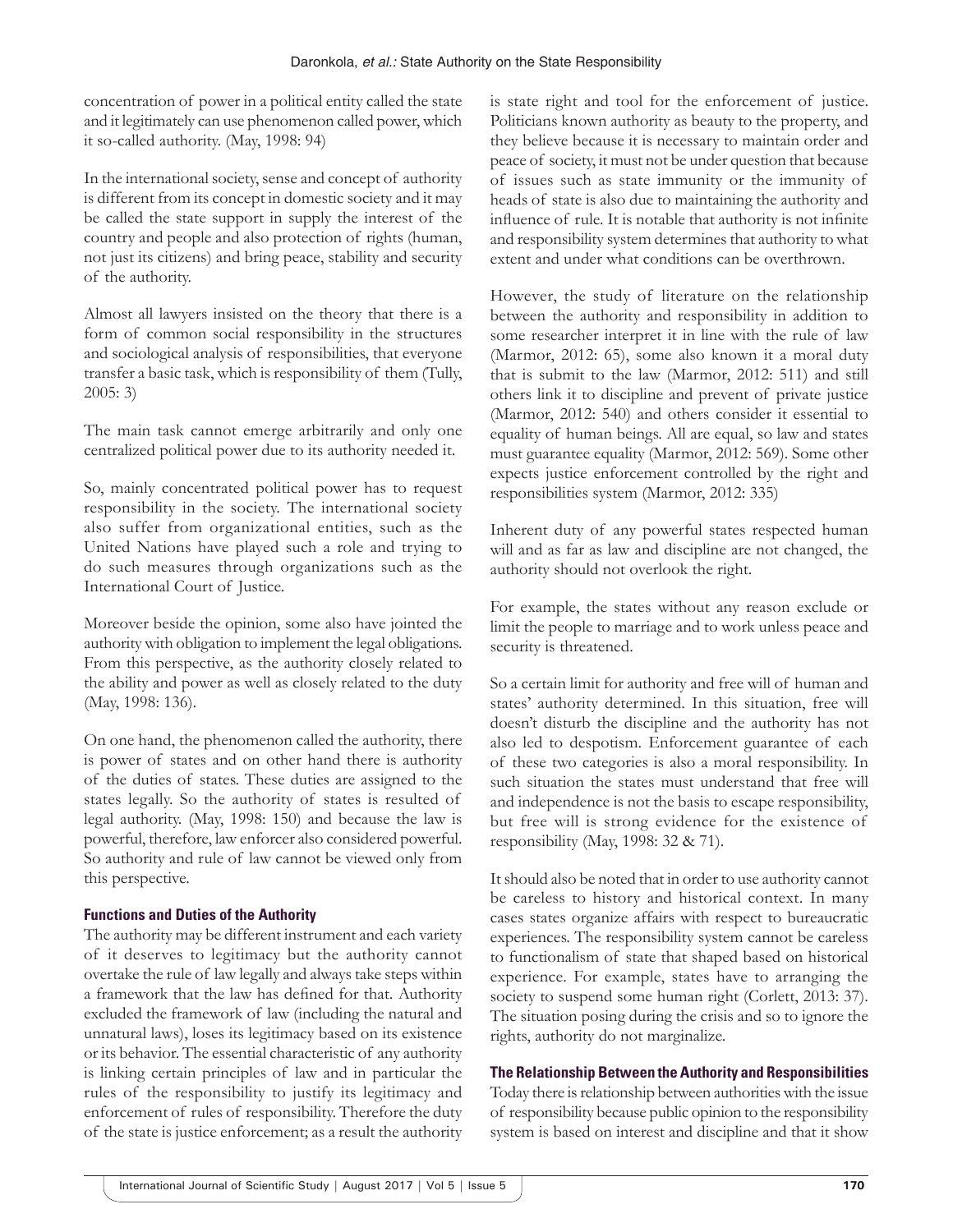concentration of power in a political entity called the state and it legitimately can use phenomenon called power, which it so-called authority. (May, 1998: 94)

In the international society, sense and concept of authority is different from its concept in domestic society and it may be called the state support in supply the interest of the country and people and also protection of rights (human, not just its citizens) and bring peace, stability and security of the authority.

Almost all lawyers insisted on the theory that there is a form of common social responsibility in the structures and sociological analysis of responsibilities, that everyone transfer a basic task, which is responsibility of them (Tully, 2005: 3)

The main task cannot emerge arbitrarily and only one centralized political power due to its authority needed it.

So, mainly concentrated political power has to request responsibility in the society. The international society also suffer from organizational entities, such as the United Nations have played such a role and trying to do such measures through organizations such as the International Court of Justice.

Moreover beside the opinion, some also have jointed the authority with obligation to implement the legal obligations. From this perspective, as the authority closely related to the ability and power as well as closely related to the duty (May, 1998: 136).

On one hand, the phenomenon called the authority, there is power of states and on other hand there is authority of the duties of states. These duties are assigned to the states legally. So the authority of states is resulted of legal authority. (May, 1998: 150) and because the law is powerful, therefore, law enforcer also considered powerful. So authority and rule of law cannot be viewed only from this perspective.

## **Functions and Duties of the Authority**

The authority may be different instrument and each variety of it deserves to legitimacy but the authority cannot overtake the rule of law legally and always take steps within a framework that the law has defined for that. Authority excluded the framework of law (including the natural and unnatural laws), loses its legitimacy based on its existence or its behavior. The essential characteristic of any authority is linking certain principles of law and in particular the rules of the responsibility to justify its legitimacy and enforcement of rules of responsibility. Therefore the duty of the state is justice enforcement; as a result the authority

is state right and tool for the enforcement of justice. Politicians known authority as beauty to the property, and they believe because it is necessary to maintain order and peace of society, it must not be under question that because of issues such as state immunity or the immunity of heads of state is also due to maintaining the authority and influence of rule. It is notable that authority is not infinite and responsibility system determines that authority to what extent and under what conditions can be overthrown.

However, the study of literature on the relationship between the authority and responsibility in addition to some researcher interpret it in line with the rule of law (Marmor, 2012: 65), some also known it a moral duty that is submit to the law (Marmor, 2012: 511) and still others link it to discipline and prevent of private justice (Marmor, 2012: 540) and others consider it essential to equality of human beings. All are equal, so law and states must guarantee equality (Marmor, 2012: 569). Some other expects justice enforcement controlled by the right and responsibilities system (Marmor, 2012: 335)

Inherent duty of any powerful states respected human will and as far as law and discipline are not changed, the authority should not overlook the right.

For example, the states without any reason exclude or limit the people to marriage and to work unless peace and security is threatened.

So a certain limit for authority and free will of human and states' authority determined. In this situation, free will doesn't disturb the discipline and the authority has not also led to despotism. Enforcement guarantee of each of these two categories is also a moral responsibility. In such situation the states must understand that free will and independence is not the basis to escape responsibility, but free will is strong evidence for the existence of responsibility (May, 1998: 32 & 71).

It should also be noted that in order to use authority cannot be careless to history and historical context. In many cases states organize affairs with respect to bureaucratic experiences. The responsibility system cannot be careless to functionalism of state that shaped based on historical experience. For example, states have to arranging the society to suspend some human right (Corlett, 2013: 37). The situation posing during the crisis and so to ignore the rights, authority do not marginalize.

## **The Relationship Between the Authority and Responsibilities**

Today there is relationship between authorities with the issue of responsibility because public opinion to the responsibility system is based on interest and discipline and that it show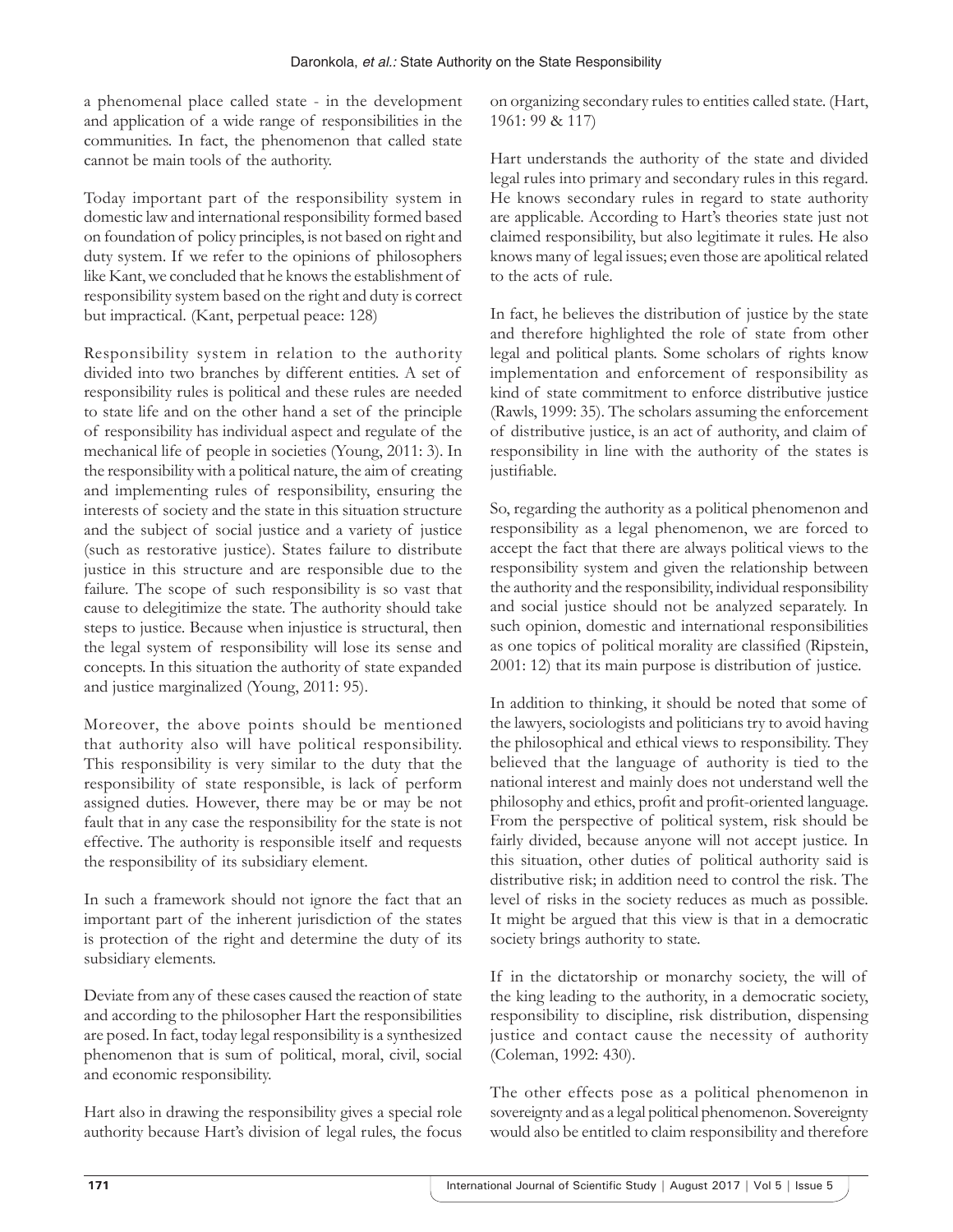a phenomenal place called state - in the development and application of a wide range of responsibilities in the communities. In fact, the phenomenon that called state cannot be main tools of the authority.

Today important part of the responsibility system in domestic law and international responsibility formed based on foundation of policy principles, is not based on right and duty system. If we refer to the opinions of philosophers like Kant, we concluded that he knows the establishment of responsibility system based on the right and duty is correct but impractical. (Kant, perpetual peace: 128)

Responsibility system in relation to the authority divided into two branches by different entities. A set of responsibility rules is political and these rules are needed to state life and on the other hand a set of the principle of responsibility has individual aspect and regulate of the mechanical life of people in societies (Young, 2011: 3). In the responsibility with a political nature, the aim of creating and implementing rules of responsibility, ensuring the interests of society and the state in this situation structure and the subject of social justice and a variety of justice (such as restorative justice). States failure to distribute justice in this structure and are responsible due to the failure. The scope of such responsibility is so vast that cause to delegitimize the state. The authority should take steps to justice. Because when injustice is structural, then the legal system of responsibility will lose its sense and concepts. In this situation the authority of state expanded and justice marginalized (Young, 2011: 95).

Moreover, the above points should be mentioned that authority also will have political responsibility. This responsibility is very similar to the duty that the responsibility of state responsible, is lack of perform assigned duties. However, there may be or may be not fault that in any case the responsibility for the state is not effective. The authority is responsible itself and requests the responsibility of its subsidiary element.

In such a framework should not ignore the fact that an important part of the inherent jurisdiction of the states is protection of the right and determine the duty of its subsidiary elements.

Deviate from any of these cases caused the reaction of state and according to the philosopher Hart the responsibilities are posed. In fact, today legal responsibility is a synthesized phenomenon that is sum of political, moral, civil, social and economic responsibility.

Hart also in drawing the responsibility gives a special role authority because Hart's division of legal rules, the focus on organizing secondary rules to entities called state. (Hart, 1961: 99 & 117)

Hart understands the authority of the state and divided legal rules into primary and secondary rules in this regard. He knows secondary rules in regard to state authority are applicable. According to Hart's theories state just not claimed responsibility, but also legitimate it rules. He also knows many of legal issues; even those are apolitical related to the acts of rule.

In fact, he believes the distribution of justice by the state and therefore highlighted the role of state from other legal and political plants. Some scholars of rights know implementation and enforcement of responsibility as kind of state commitment to enforce distributive justice (Rawls, 1999: 35). The scholars assuming the enforcement of distributive justice, is an act of authority, and claim of responsibility in line with the authority of the states is justifiable.

So, regarding the authority as a political phenomenon and responsibility as a legal phenomenon, we are forced to accept the fact that there are always political views to the responsibility system and given the relationship between the authority and the responsibility, individual responsibility and social justice should not be analyzed separately. In such opinion, domestic and international responsibilities as one topics of political morality are classified (Ripstein, 2001: 12) that its main purpose is distribution of justice.

In addition to thinking, it should be noted that some of the lawyers, sociologists and politicians try to avoid having the philosophical and ethical views to responsibility. They believed that the language of authority is tied to the national interest and mainly does not understand well the philosophy and ethics, profit and profit-oriented language. From the perspective of political system, risk should be fairly divided, because anyone will not accept justice. In this situation, other duties of political authority said is distributive risk; in addition need to control the risk. The level of risks in the society reduces as much as possible. It might be argued that this view is that in a democratic society brings authority to state.

If in the dictatorship or monarchy society, the will of the king leading to the authority, in a democratic society, responsibility to discipline, risk distribution, dispensing justice and contact cause the necessity of authority (Coleman, 1992: 430).

The other effects pose as a political phenomenon in sovereignty and as a legal political phenomenon. Sovereignty would also be entitled to claim responsibility and therefore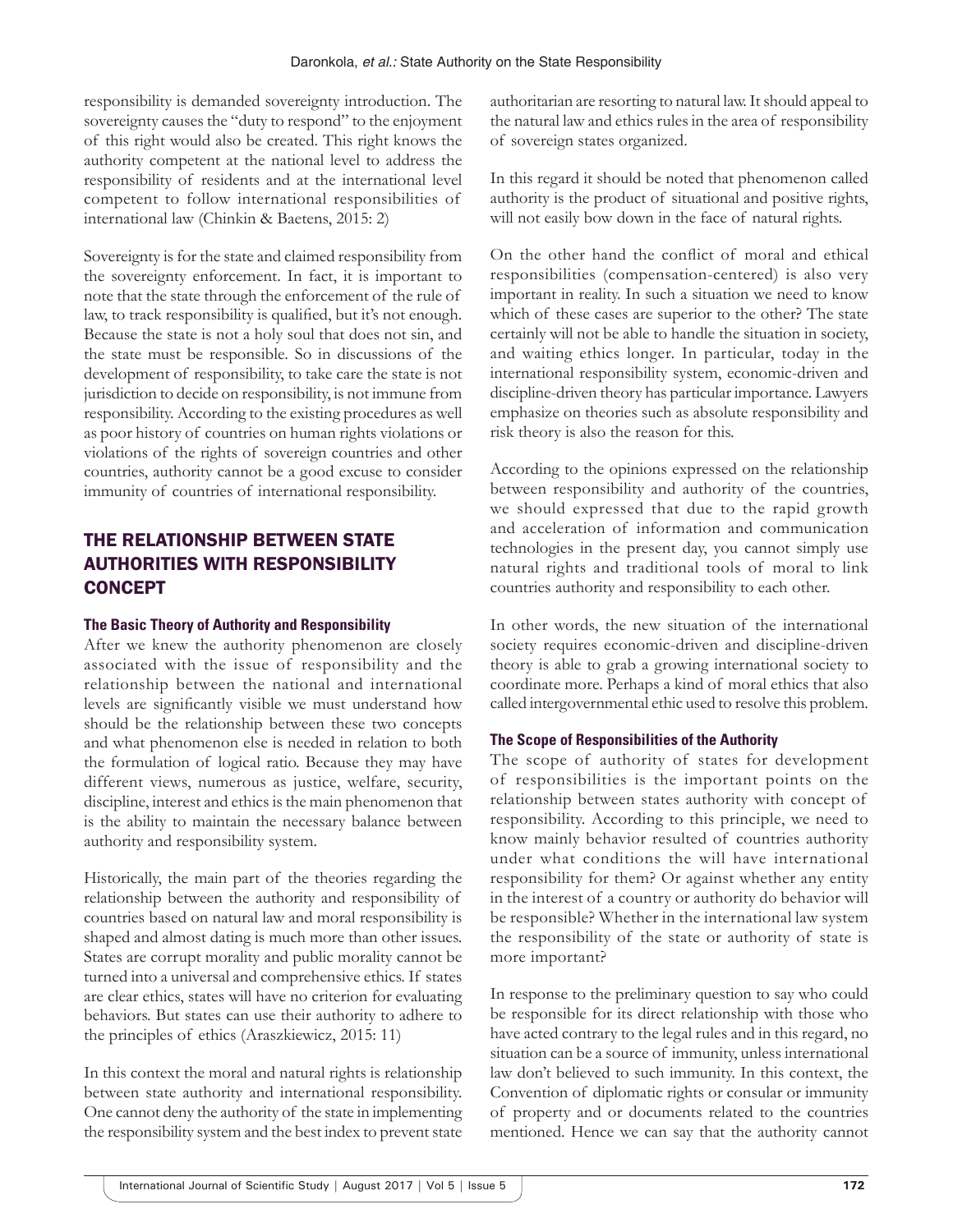responsibility is demanded sovereignty introduction. The sovereignty causes the "duty to respond" to the enjoyment of this right would also be created. This right knows the authority competent at the national level to address the responsibility of residents and at the international level competent to follow international responsibilities of international law (Chinkin & Baetens, 2015: 2)

Sovereignty is for the state and claimed responsibility from the sovereignty enforcement. In fact, it is important to note that the state through the enforcement of the rule of law, to track responsibility is qualified, but it's not enough. Because the state is not a holy soul that does not sin, and the state must be responsible. So in discussions of the development of responsibility, to take care the state is not jurisdiction to decide on responsibility, is not immune from responsibility. According to the existing procedures as well as poor history of countries on human rights violations or violations of the rights of sovereign countries and other countries, authority cannot be a good excuse to consider immunity of countries of international responsibility.

# THE RELATIONSHIP BETWEEN STATE AUTHORITIES WITH RESPONSIBILITY **CONCEPT**

#### **The Basic Theory of Authority and Responsibility**

After we knew the authority phenomenon are closely associated with the issue of responsibility and the relationship between the national and international levels are significantly visible we must understand how should be the relationship between these two concepts and what phenomenon else is needed in relation to both the formulation of logical ratio. Because they may have different views, numerous as justice, welfare, security, discipline, interest and ethics is the main phenomenon that is the ability to maintain the necessary balance between authority and responsibility system.

Historically, the main part of the theories regarding the relationship between the authority and responsibility of countries based on natural law and moral responsibility is shaped and almost dating is much more than other issues. States are corrupt morality and public morality cannot be turned into a universal and comprehensive ethics. If states are clear ethics, states will have no criterion for evaluating behaviors. But states can use their authority to adhere to the principles of ethics (Araszkiewicz, 2015: 11)

In this context the moral and natural rights is relationship between state authority and international responsibility. One cannot deny the authority of the state in implementing the responsibility system and the best index to prevent state authoritarian are resorting to natural law. It should appeal to the natural law and ethics rules in the area of responsibility of sovereign states organized.

In this regard it should be noted that phenomenon called authority is the product of situational and positive rights, will not easily bow down in the face of natural rights.

On the other hand the conflict of moral and ethical responsibilities (compensation-centered) is also very important in reality. In such a situation we need to know which of these cases are superior to the other? The state certainly will not be able to handle the situation in society, and waiting ethics longer. In particular, today in the international responsibility system, economic-driven and discipline-driven theory has particular importance. Lawyers emphasize on theories such as absolute responsibility and risk theory is also the reason for this.

According to the opinions expressed on the relationship between responsibility and authority of the countries, we should expressed that due to the rapid growth and acceleration of information and communication technologies in the present day, you cannot simply use natural rights and traditional tools of moral to link countries authority and responsibility to each other.

In other words, the new situation of the international society requires economic-driven and discipline-driven theory is able to grab a growing international society to coordinate more. Perhaps a kind of moral ethics that also called intergovernmental ethic used to resolve this problem.

## **The Scope of Responsibilities of the Authority**

The scope of authority of states for development of responsibilities is the important points on the relationship between states authority with concept of responsibility. According to this principle, we need to know mainly behavior resulted of countries authority under what conditions the will have international responsibility for them? Or against whether any entity in the interest of a country or authority do behavior will be responsible? Whether in the international law system the responsibility of the state or authority of state is more important?

In response to the preliminary question to say who could be responsible for its direct relationship with those who have acted contrary to the legal rules and in this regard, no situation can be a source of immunity, unless international law don't believed to such immunity. In this context, the Convention of diplomatic rights or consular or immunity of property and or documents related to the countries mentioned. Hence we can say that the authority cannot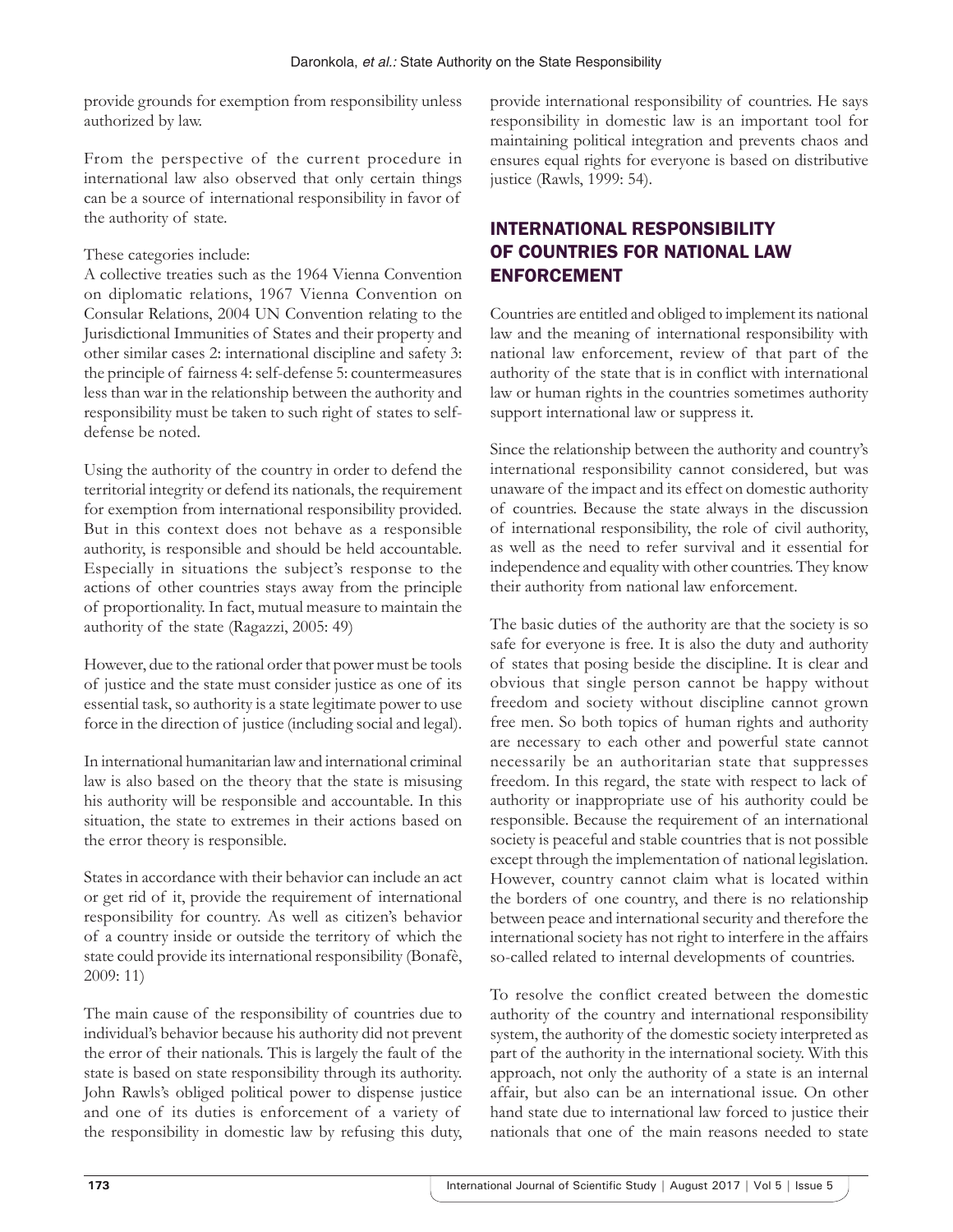provide grounds for exemption from responsibility unless authorized by law.

From the perspective of the current procedure in international law also observed that only certain things can be a source of international responsibility in favor of the authority of state.

## These categories include:

A collective treaties such as the 1964 Vienna Convention on diplomatic relations, 1967 Vienna Convention on Consular Relations, 2004 UN Convention relating to the Jurisdictional Immunities of States and their property and other similar cases 2: international discipline and safety 3: the principle of fairness 4: self-defense 5: countermeasures less than war in the relationship between the authority and responsibility must be taken to such right of states to selfdefense be noted.

Using the authority of the country in order to defend the territorial integrity or defend its nationals, the requirement for exemption from international responsibility provided. But in this context does not behave as a responsible authority, is responsible and should be held accountable. Especially in situations the subject's response to the actions of other countries stays away from the principle of proportionality. In fact, mutual measure to maintain the authority of the state (Ragazzi, 2005: 49)

However, due to the rational order that power must be tools of justice and the state must consider justice as one of its essential task, so authority is a state legitimate power to use force in the direction of justice (including social and legal).

In international humanitarian law and international criminal law is also based on the theory that the state is misusing his authority will be responsible and accountable. In this situation, the state to extremes in their actions based on the error theory is responsible.

States in accordance with their behavior can include an act or get rid of it, provide the requirement of international responsibility for country. As well as citizen's behavior of a country inside or outside the territory of which the state could provide its international responsibility (Bonafè, 2009: 11)

The main cause of the responsibility of countries due to individual's behavior because his authority did not prevent the error of their nationals. This is largely the fault of the state is based on state responsibility through its authority. John Rawls's obliged political power to dispense justice and one of its duties is enforcement of a variety of the responsibility in domestic law by refusing this duty,

provide international responsibility of countries. He says responsibility in domestic law is an important tool for maintaining political integration and prevents chaos and ensures equal rights for everyone is based on distributive justice (Rawls, 1999: 54).

# INTERNATIONAL RESPONSIBILITY OF COUNTRIES FOR NATIONAL LAW ENFORCEMENT

Countries are entitled and obliged to implement its national law and the meaning of international responsibility with national law enforcement, review of that part of the authority of the state that is in conflict with international law or human rights in the countries sometimes authority support international law or suppress it.

Since the relationship between the authority and country's international responsibility cannot considered, but was unaware of the impact and its effect on domestic authority of countries. Because the state always in the discussion of international responsibility, the role of civil authority, as well as the need to refer survival and it essential for independence and equality with other countries. They know their authority from national law enforcement.

The basic duties of the authority are that the society is so safe for everyone is free. It is also the duty and authority of states that posing beside the discipline. It is clear and obvious that single person cannot be happy without freedom and society without discipline cannot grown free men. So both topics of human rights and authority are necessary to each other and powerful state cannot necessarily be an authoritarian state that suppresses freedom. In this regard, the state with respect to lack of authority or inappropriate use of his authority could be responsible. Because the requirement of an international society is peaceful and stable countries that is not possible except through the implementation of national legislation. However, country cannot claim what is located within the borders of one country, and there is no relationship between peace and international security and therefore the international society has not right to interfere in the affairs so-called related to internal developments of countries.

To resolve the conflict created between the domestic authority of the country and international responsibility system, the authority of the domestic society interpreted as part of the authority in the international society. With this approach, not only the authority of a state is an internal affair, but also can be an international issue. On other hand state due to international law forced to justice their nationals that one of the main reasons needed to state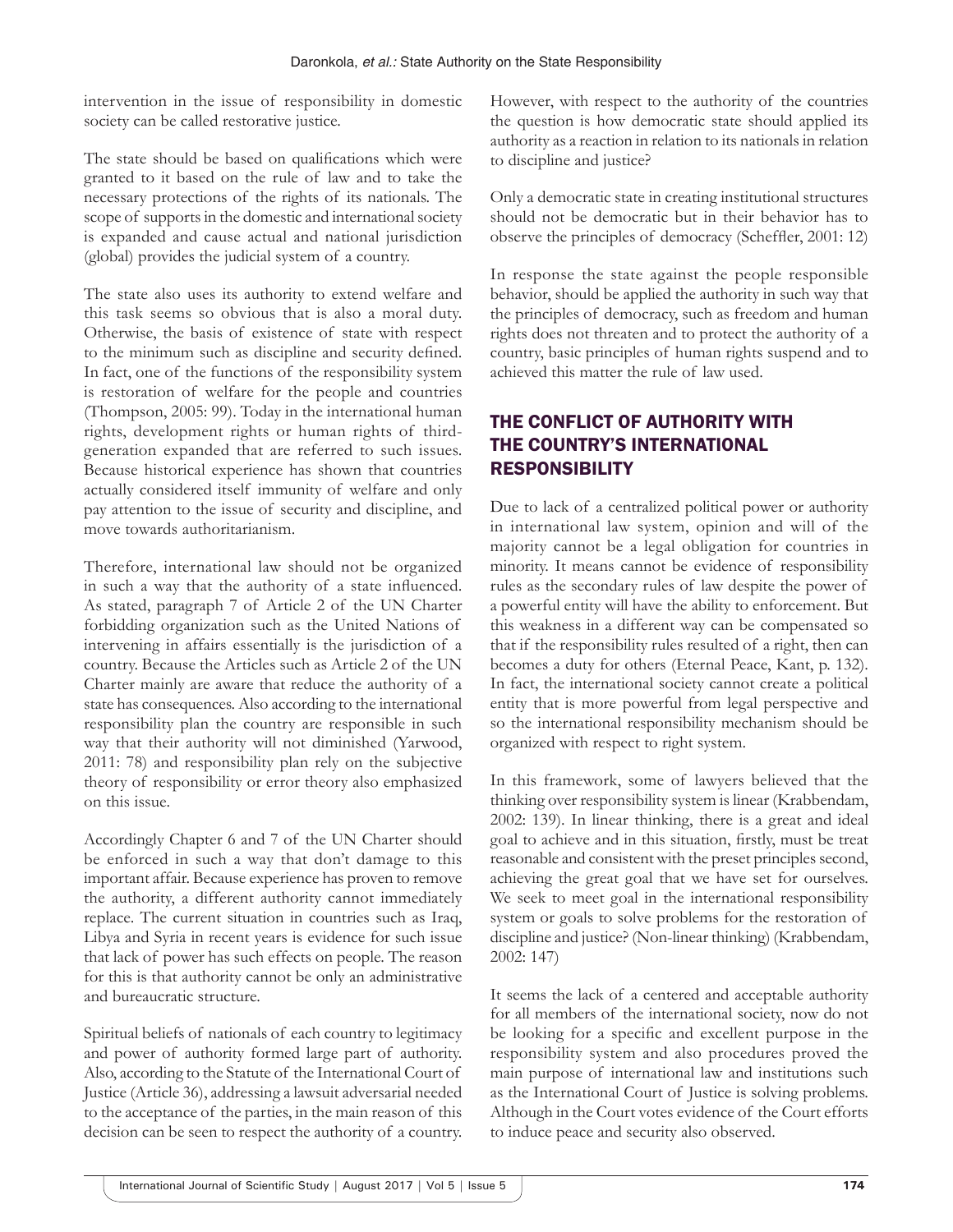intervention in the issue of responsibility in domestic society can be called restorative justice.

The state should be based on qualifications which were granted to it based on the rule of law and to take the necessary protections of the rights of its nationals. The scope of supports in the domestic and international society is expanded and cause actual and national jurisdiction (global) provides the judicial system of a country.

The state also uses its authority to extend welfare and this task seems so obvious that is also a moral duty. Otherwise, the basis of existence of state with respect to the minimum such as discipline and security defined. In fact, one of the functions of the responsibility system is restoration of welfare for the people and countries (Thompson, 2005: 99). Today in the international human rights, development rights or human rights of thirdgeneration expanded that are referred to such issues. Because historical experience has shown that countries actually considered itself immunity of welfare and only pay attention to the issue of security and discipline, and move towards authoritarianism.

Therefore, international law should not be organized in such a way that the authority of a state influenced. As stated, paragraph 7 of Article 2 of the UN Charter forbidding organization such as the United Nations of intervening in affairs essentially is the jurisdiction of a country. Because the Articles such as Article 2 of the UN Charter mainly are aware that reduce the authority of a state has consequences. Also according to the international responsibility plan the country are responsible in such way that their authority will not diminished (Yarwood, 2011: 78) and responsibility plan rely on the subjective theory of responsibility or error theory also emphasized on this issue.

Accordingly Chapter 6 and 7 of the UN Charter should be enforced in such a way that don't damage to this important affair. Because experience has proven to remove the authority, a different authority cannot immediately replace. The current situation in countries such as Iraq, Libya and Syria in recent years is evidence for such issue that lack of power has such effects on people. The reason for this is that authority cannot be only an administrative and bureaucratic structure.

Spiritual beliefs of nationals of each country to legitimacy and power of authority formed large part of authority. Also, according to the Statute of the International Court of Justice (Article 36), addressing a lawsuit adversarial needed to the acceptance of the parties, in the main reason of this decision can be seen to respect the authority of a country. However, with respect to the authority of the countries the question is how democratic state should applied its authority as a reaction in relation to its nationals in relation to discipline and justice?

Only a democratic state in creating institutional structures should not be democratic but in their behavior has to observe the principles of democracy (Scheffler, 2001: 12)

In response the state against the people responsible behavior, should be applied the authority in such way that the principles of democracy, such as freedom and human rights does not threaten and to protect the authority of a country, basic principles of human rights suspend and to achieved this matter the rule of law used.

# THE CONFLICT OF AUTHORITY WITH THE COUNTRY'S INTERNATIONAL RESPONSIBILITY

Due to lack of a centralized political power or authority in international law system, opinion and will of the majority cannot be a legal obligation for countries in minority. It means cannot be evidence of responsibility rules as the secondary rules of law despite the power of a powerful entity will have the ability to enforcement. But this weakness in a different way can be compensated so that if the responsibility rules resulted of a right, then can becomes a duty for others (Eternal Peace, Kant, p. 132). In fact, the international society cannot create a political entity that is more powerful from legal perspective and so the international responsibility mechanism should be organized with respect to right system.

In this framework, some of lawyers believed that the thinking over responsibility system is linear (Krabbendam, 2002: 139). In linear thinking, there is a great and ideal goal to achieve and in this situation, firstly, must be treat reasonable and consistent with the preset principles second, achieving the great goal that we have set for ourselves. We seek to meet goal in the international responsibility system or goals to solve problems for the restoration of discipline and justice? (Non-linear thinking) (Krabbendam, 2002: 147)

It seems the lack of a centered and acceptable authority for all members of the international society, now do not be looking for a specific and excellent purpose in the responsibility system and also procedures proved the main purpose of international law and institutions such as the International Court of Justice is solving problems. Although in the Court votes evidence of the Court efforts to induce peace and security also observed.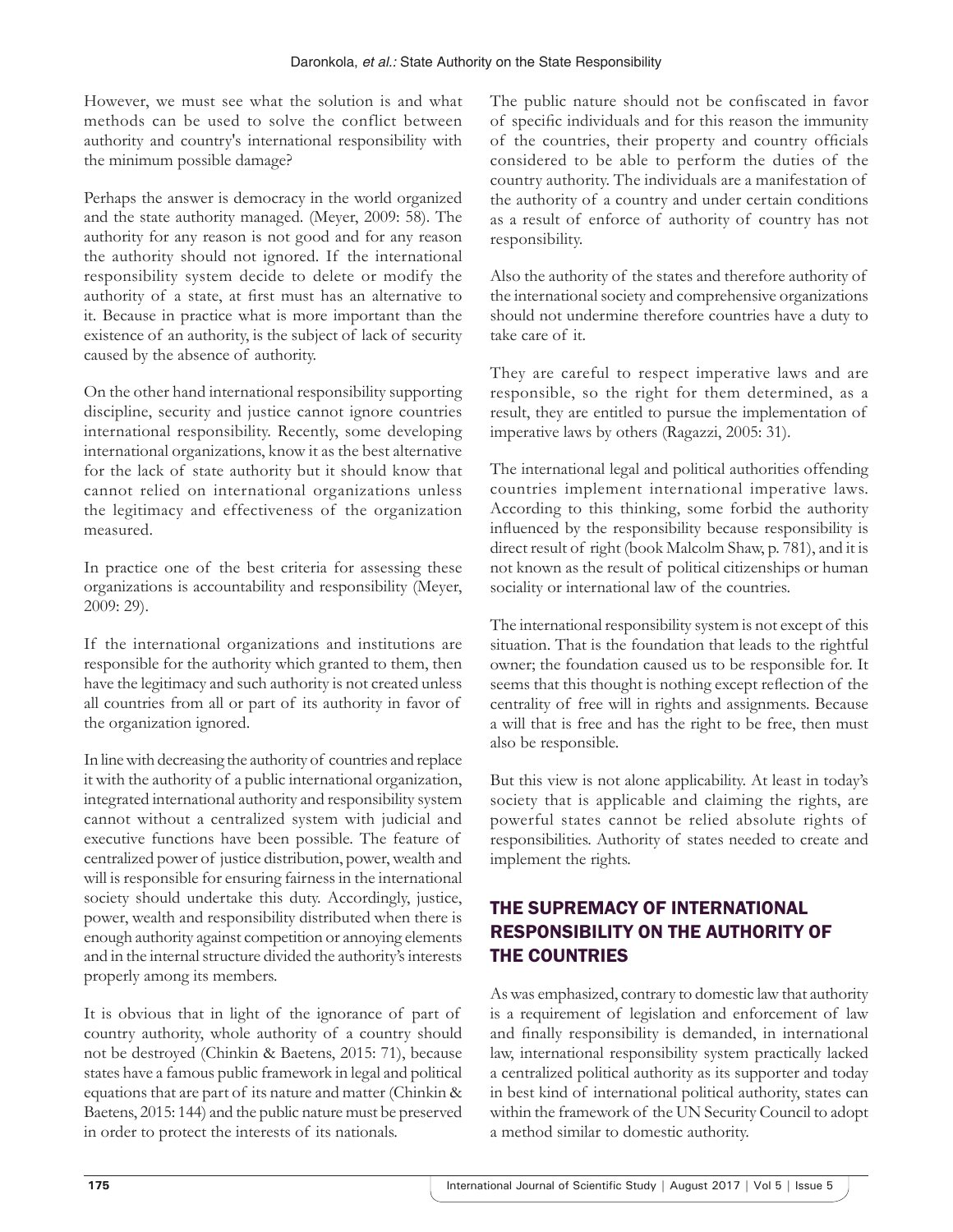However, we must see what the solution is and what methods can be used to solve the conflict between authority and country's international responsibility with the minimum possible damage?

Perhaps the answer is democracy in the world organized and the state authority managed. (Meyer, 2009: 58). The authority for any reason is not good and for any reason the authority should not ignored. If the international responsibility system decide to delete or modify the authority of a state, at first must has an alternative to it. Because in practice what is more important than the existence of an authority, is the subject of lack of security caused by the absence of authority.

On the other hand international responsibility supporting discipline, security and justice cannot ignore countries international responsibility. Recently, some developing international organizations, know it as the best alternative for the lack of state authority but it should know that cannot relied on international organizations unless the legitimacy and effectiveness of the organization measured.

In practice one of the best criteria for assessing these organizations is accountability and responsibility (Meyer, 2009: 29).

If the international organizations and institutions are responsible for the authority which granted to them, then have the legitimacy and such authority is not created unless all countries from all or part of its authority in favor of the organization ignored.

In line with decreasing the authority of countries and replace it with the authority of a public international organization, integrated international authority and responsibility system cannot without a centralized system with judicial and executive functions have been possible. The feature of centralized power of justice distribution, power, wealth and will is responsible for ensuring fairness in the international society should undertake this duty. Accordingly, justice, power, wealth and responsibility distributed when there is enough authority against competition or annoying elements and in the internal structure divided the authority's interests properly among its members.

It is obvious that in light of the ignorance of part of country authority, whole authority of a country should not be destroyed (Chinkin & Baetens, 2015: 71), because states have a famous public framework in legal and political equations that are part of its nature and matter (Chinkin & Baetens, 2015: 144) and the public nature must be preserved in order to protect the interests of its nationals.

The public nature should not be confiscated in favor of specific individuals and for this reason the immunity of the countries, their property and country officials considered to be able to perform the duties of the country authority. The individuals are a manifestation of the authority of a country and under certain conditions as a result of enforce of authority of country has not responsibility.

Also the authority of the states and therefore authority of the international society and comprehensive organizations should not undermine therefore countries have a duty to take care of it.

They are careful to respect imperative laws and are responsible, so the right for them determined, as a result, they are entitled to pursue the implementation of imperative laws by others (Ragazzi, 2005: 31).

The international legal and political authorities offending countries implement international imperative laws. According to this thinking, some forbid the authority influenced by the responsibility because responsibility is direct result of right (book Malcolm Shaw, p. 781), and it is not known as the result of political citizenships or human sociality or international law of the countries.

The international responsibility system is not except of this situation. That is the foundation that leads to the rightful owner; the foundation caused us to be responsible for. It seems that this thought is nothing except reflection of the centrality of free will in rights and assignments. Because a will that is free and has the right to be free, then must also be responsible.

But this view is not alone applicability. At least in today's society that is applicable and claiming the rights, are powerful states cannot be relied absolute rights of responsibilities. Authority of states needed to create and implement the rights.

# THE SUPREMACY OF INTERNATIONAL RESPONSIBILITY ON THE AUTHORITY OF THE COUNTRIES

As was emphasized, contrary to domestic law that authority is a requirement of legislation and enforcement of law and finally responsibility is demanded, in international law, international responsibility system practically lacked a centralized political authority as its supporter and today in best kind of international political authority, states can within the framework of the UN Security Council to adopt a method similar to domestic authority.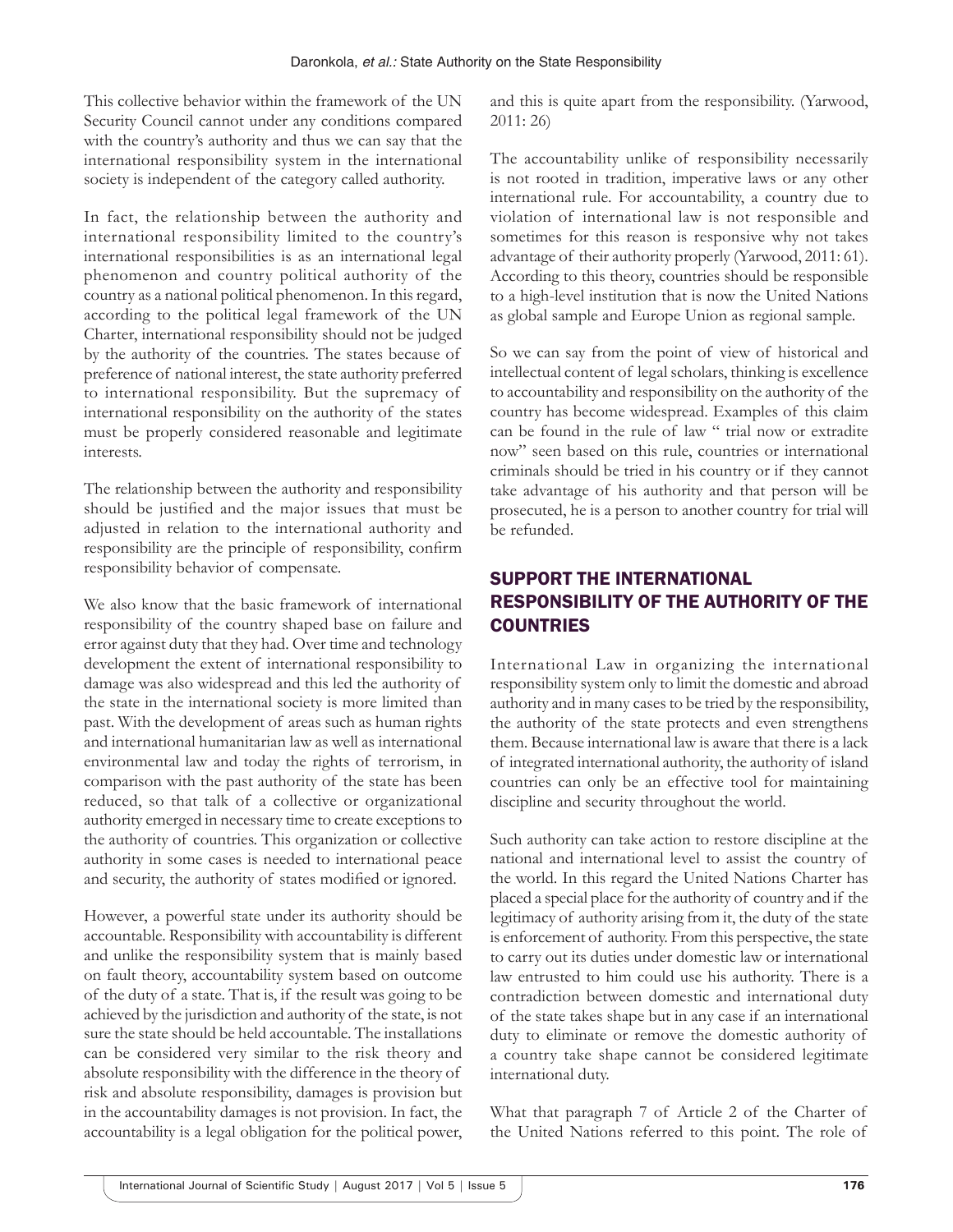This collective behavior within the framework of the UN Security Council cannot under any conditions compared with the country's authority and thus we can say that the international responsibility system in the international society is independent of the category called authority.

In fact, the relationship between the authority and international responsibility limited to the country's international responsibilities is as an international legal phenomenon and country political authority of the country as a national political phenomenon. In this regard, according to the political legal framework of the UN Charter, international responsibility should not be judged by the authority of the countries. The states because of preference of national interest, the state authority preferred to international responsibility. But the supremacy of international responsibility on the authority of the states must be properly considered reasonable and legitimate interests.

The relationship between the authority and responsibility should be justified and the major issues that must be adjusted in relation to the international authority and responsibility are the principle of responsibility, confirm responsibility behavior of compensate.

We also know that the basic framework of international responsibility of the country shaped base on failure and error against duty that they had. Over time and technology development the extent of international responsibility to damage was also widespread and this led the authority of the state in the international society is more limited than past. With the development of areas such as human rights and international humanitarian law as well as international environmental law and today the rights of terrorism, in comparison with the past authority of the state has been reduced, so that talk of a collective or organizational authority emerged in necessary time to create exceptions to the authority of countries. This organization or collective authority in some cases is needed to international peace and security, the authority of states modified or ignored.

However, a powerful state under its authority should be accountable. Responsibility with accountability is different and unlike the responsibility system that is mainly based on fault theory, accountability system based on outcome of the duty of a state. That is, if the result was going to be achieved by the jurisdiction and authority of the state, is not sure the state should be held accountable. The installations can be considered very similar to the risk theory and absolute responsibility with the difference in the theory of risk and absolute responsibility, damages is provision but in the accountability damages is not provision. In fact, the accountability is a legal obligation for the political power, and this is quite apart from the responsibility. (Yarwood, 2011: 26)

The accountability unlike of responsibility necessarily is not rooted in tradition, imperative laws or any other international rule. For accountability, a country due to violation of international law is not responsible and sometimes for this reason is responsive why not takes advantage of their authority properly (Yarwood, 2011: 61). According to this theory, countries should be responsible to a high-level institution that is now the United Nations as global sample and Europe Union as regional sample.

So we can say from the point of view of historical and intellectual content of legal scholars, thinking is excellence to accountability and responsibility on the authority of the country has become widespread. Examples of this claim can be found in the rule of law " trial now or extradite now" seen based on this rule, countries or international criminals should be tried in his country or if they cannot take advantage of his authority and that person will be prosecuted, he is a person to another country for trial will be refunded.

# SUPPORT THE INTERNATIONAL RESPONSIBILITY OF THE AUTHORITY OF THE **COUNTRIES**

International Law in organizing the international responsibility system only to limit the domestic and abroad authority and in many cases to be tried by the responsibility, the authority of the state protects and even strengthens them. Because international law is aware that there is a lack of integrated international authority, the authority of island countries can only be an effective tool for maintaining discipline and security throughout the world.

Such authority can take action to restore discipline at the national and international level to assist the country of the world. In this regard the United Nations Charter has placed a special place for the authority of country and if the legitimacy of authority arising from it, the duty of the state is enforcement of authority. From this perspective, the state to carry out its duties under domestic law or international law entrusted to him could use his authority. There is a contradiction between domestic and international duty of the state takes shape but in any case if an international duty to eliminate or remove the domestic authority of a country take shape cannot be considered legitimate international duty.

What that paragraph 7 of Article 2 of the Charter of the United Nations referred to this point. The role of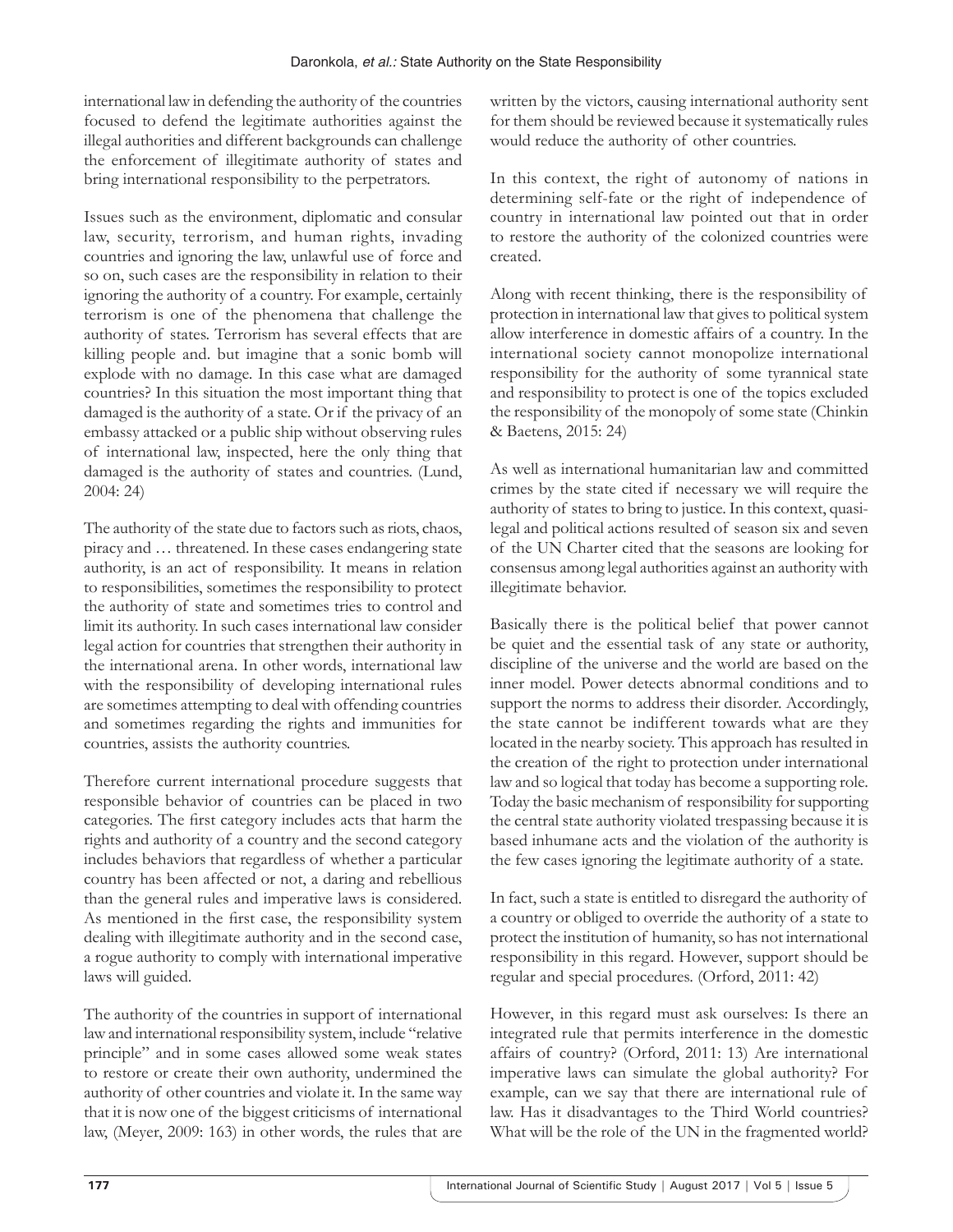international law in defending the authority of the countries focused to defend the legitimate authorities against the illegal authorities and different backgrounds can challenge the enforcement of illegitimate authority of states and bring international responsibility to the perpetrators.

Issues such as the environment, diplomatic and consular law, security, terrorism, and human rights, invading countries and ignoring the law, unlawful use of force and so on, such cases are the responsibility in relation to their ignoring the authority of a country. For example, certainly terrorism is one of the phenomena that challenge the authority of states. Terrorism has several effects that are killing people and. but imagine that a sonic bomb will explode with no damage. In this case what are damaged countries? In this situation the most important thing that damaged is the authority of a state. Or if the privacy of an embassy attacked or a public ship without observing rules of international law, inspected, here the only thing that damaged is the authority of states and countries. (Lund, 2004: 24)

The authority of the state due to factors such as riots, chaos, piracy and … threatened. In these cases endangering state authority, is an act of responsibility. It means in relation to responsibilities, sometimes the responsibility to protect the authority of state and sometimes tries to control and limit its authority. In such cases international law consider legal action for countries that strengthen their authority in the international arena. In other words, international law with the responsibility of developing international rules are sometimes attempting to deal with offending countries and sometimes regarding the rights and immunities for countries, assists the authority countries.

Therefore current international procedure suggests that responsible behavior of countries can be placed in two categories. The first category includes acts that harm the rights and authority of a country and the second category includes behaviors that regardless of whether a particular country has been affected or not, a daring and rebellious than the general rules and imperative laws is considered. As mentioned in the first case, the responsibility system dealing with illegitimate authority and in the second case, a rogue authority to comply with international imperative laws will guided.

The authority of the countries in support of international law and international responsibility system, include "relative principle" and in some cases allowed some weak states to restore or create their own authority, undermined the authority of other countries and violate it. In the same way that it is now one of the biggest criticisms of international law, (Meyer, 2009: 163) in other words, the rules that are

written by the victors, causing international authority sent for them should be reviewed because it systematically rules would reduce the authority of other countries.

In this context, the right of autonomy of nations in determining self-fate or the right of independence of country in international law pointed out that in order to restore the authority of the colonized countries were created.

Along with recent thinking, there is the responsibility of protection in international law that gives to political system allow interference in domestic affairs of a country. In the international society cannot monopolize international responsibility for the authority of some tyrannical state and responsibility to protect is one of the topics excluded the responsibility of the monopoly of some state (Chinkin & Baetens, 2015: 24)

As well as international humanitarian law and committed crimes by the state cited if necessary we will require the authority of states to bring to justice. In this context, quasilegal and political actions resulted of season six and seven of the UN Charter cited that the seasons are looking for consensus among legal authorities against an authority with illegitimate behavior.

Basically there is the political belief that power cannot be quiet and the essential task of any state or authority, discipline of the universe and the world are based on the inner model. Power detects abnormal conditions and to support the norms to address their disorder. Accordingly, the state cannot be indifferent towards what are they located in the nearby society. This approach has resulted in the creation of the right to protection under international law and so logical that today has become a supporting role. Today the basic mechanism of responsibility for supporting the central state authority violated trespassing because it is based inhumane acts and the violation of the authority is the few cases ignoring the legitimate authority of a state.

In fact, such a state is entitled to disregard the authority of a country or obliged to override the authority of a state to protect the institution of humanity, so has not international responsibility in this regard. However, support should be regular and special procedures. (Orford, 2011: 42)

However, in this regard must ask ourselves: Is there an integrated rule that permits interference in the domestic affairs of country? (Orford, 2011: 13) Are international imperative laws can simulate the global authority? For example, can we say that there are international rule of law. Has it disadvantages to the Third World countries? What will be the role of the UN in the fragmented world?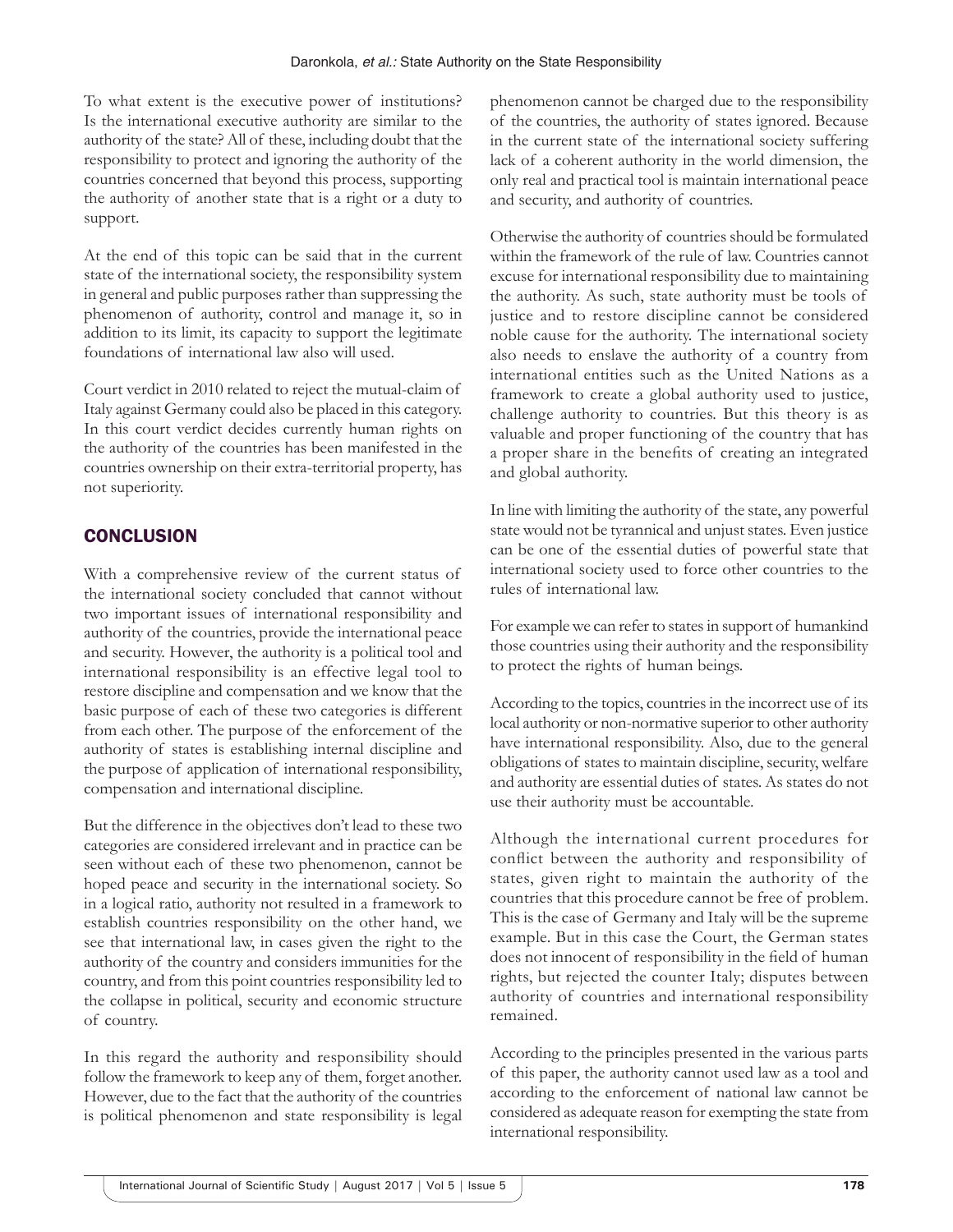To what extent is the executive power of institutions? Is the international executive authority are similar to the authority of the state? All of these, including doubt that the responsibility to protect and ignoring the authority of the countries concerned that beyond this process, supporting the authority of another state that is a right or a duty to support.

At the end of this topic can be said that in the current state of the international society, the responsibility system in general and public purposes rather than suppressing the phenomenon of authority, control and manage it, so in addition to its limit, its capacity to support the legitimate foundations of international law also will used.

Court verdict in 2010 related to reject the mutual-claim of Italy against Germany could also be placed in this category. In this court verdict decides currently human rights on the authority of the countries has been manifested in the countries ownership on their extra-territorial property, has not superiority.

# **CONCLUSION**

With a comprehensive review of the current status of the international society concluded that cannot without two important issues of international responsibility and authority of the countries, provide the international peace and security. However, the authority is a political tool and international responsibility is an effective legal tool to restore discipline and compensation and we know that the basic purpose of each of these two categories is different from each other. The purpose of the enforcement of the authority of states is establishing internal discipline and the purpose of application of international responsibility, compensation and international discipline.

But the difference in the objectives don't lead to these two categories are considered irrelevant and in practice can be seen without each of these two phenomenon, cannot be hoped peace and security in the international society. So in a logical ratio, authority not resulted in a framework to establish countries responsibility on the other hand, we see that international law, in cases given the right to the authority of the country and considers immunities for the country, and from this point countries responsibility led to the collapse in political, security and economic structure of country.

In this regard the authority and responsibility should follow the framework to keep any of them, forget another. However, due to the fact that the authority of the countries is political phenomenon and state responsibility is legal phenomenon cannot be charged due to the responsibility of the countries, the authority of states ignored. Because in the current state of the international society suffering lack of a coherent authority in the world dimension, the only real and practical tool is maintain international peace and security, and authority of countries.

Otherwise the authority of countries should be formulated within the framework of the rule of law. Countries cannot excuse for international responsibility due to maintaining the authority. As such, state authority must be tools of justice and to restore discipline cannot be considered noble cause for the authority. The international society also needs to enslave the authority of a country from international entities such as the United Nations as a framework to create a global authority used to justice, challenge authority to countries. But this theory is as valuable and proper functioning of the country that has a proper share in the benefits of creating an integrated and global authority.

In line with limiting the authority of the state, any powerful state would not be tyrannical and unjust states. Even justice can be one of the essential duties of powerful state that international society used to force other countries to the rules of international law.

For example we can refer to states in support of humankind those countries using their authority and the responsibility to protect the rights of human beings.

According to the topics, countries in the incorrect use of its local authority or non-normative superior to other authority have international responsibility. Also, due to the general obligations of states to maintain discipline, security, welfare and authority are essential duties of states. As states do not use their authority must be accountable.

Although the international current procedures for conflict between the authority and responsibility of states, given right to maintain the authority of the countries that this procedure cannot be free of problem. This is the case of Germany and Italy will be the supreme example. But in this case the Court, the German states does not innocent of responsibility in the field of human rights, but rejected the counter Italy; disputes between authority of countries and international responsibility remained.

According to the principles presented in the various parts of this paper, the authority cannot used law as a tool and according to the enforcement of national law cannot be considered as adequate reason for exempting the state from international responsibility.